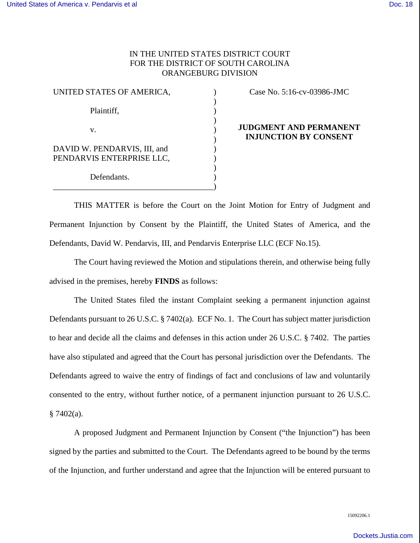## IN THE UNITED STATES DISTRICT COURT FOR THE DISTRICT OF SOUTH CAROLINA ORANGEBURG DIVISION

| UNITED STATES OF AMERICA,                                 |  |
|-----------------------------------------------------------|--|
| Plaintiff,                                                |  |
| V.                                                        |  |
| DAVID W. PENDARVIS, III, and<br>PENDARVIS ENTERPRISE LLC, |  |
| Defendants.                                               |  |

Case No. 5:16-cv-03986-JMC

## **JUDGMENT AND PERMANENT INJUNCTION BY CONSENT**

THIS MATTER is before the Court on the Joint Motion for Entry of Judgment and Permanent Injunction by Consent by the Plaintiff, the United States of America, and the Defendants, David W. Pendarvis, III, and Pendarvis Enterprise LLC (ECF No.15).

The Court having reviewed the Motion and stipulations therein, and otherwise being fully advised in the premises, hereby **FINDS** as follows:

The United States filed the instant Complaint seeking a permanent injunction against Defendants pursuant to 26 U.S.C. § 7402(a). ECF No. 1. The Court has subject matter jurisdiction to hear and decide all the claims and defenses in this action under 26 U.S.C. § 7402. The parties have also stipulated and agreed that the Court has personal jurisdiction over the Defendants. The Defendants agreed to waive the entry of findings of fact and conclusions of law and voluntarily consented to the entry, without further notice, of a permanent injunction pursuant to 26 U.S.C.  $§ 7402(a).$ 

A proposed Judgment and Permanent Injunction by Consent ("the Injunction") has been signed by the parties and submitted to the Court. The Defendants agreed to be bound by the terms of the Injunction, and further understand and agree that the Injunction will be entered pursuant to

15092206.1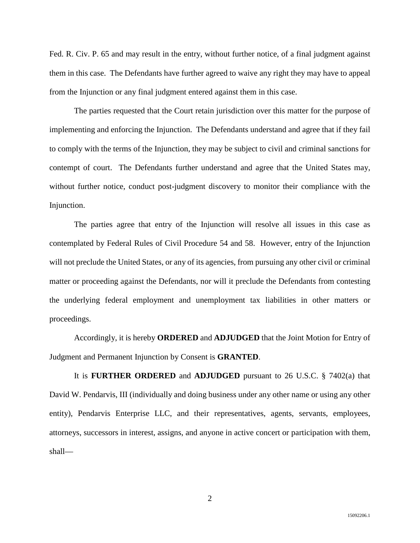Fed. R. Civ. P. 65 and may result in the entry, without further notice, of a final judgment against them in this case. The Defendants have further agreed to waive any right they may have to appeal from the Injunction or any final judgment entered against them in this case.

The parties requested that the Court retain jurisdiction over this matter for the purpose of implementing and enforcing the Injunction. The Defendants understand and agree that if they fail to comply with the terms of the Injunction, they may be subject to civil and criminal sanctions for contempt of court. The Defendants further understand and agree that the United States may, without further notice, conduct post-judgment discovery to monitor their compliance with the Injunction.

The parties agree that entry of the Injunction will resolve all issues in this case as contemplated by Federal Rules of Civil Procedure 54 and 58. However, entry of the Injunction will not preclude the United States, or any of its agencies, from pursuing any other civil or criminal matter or proceeding against the Defendants, nor will it preclude the Defendants from contesting the underlying federal employment and unemployment tax liabilities in other matters or proceedings.

Accordingly, it is hereby **ORDERED** and **ADJUDGED** that the Joint Motion for Entry of Judgment and Permanent Injunction by Consent is **GRANTED**.

It is **FURTHER ORDERED** and **ADJUDGED** pursuant to 26 U.S.C. § 7402(a) that David W. Pendarvis, III (individually and doing business under any other name or using any other entity), Pendarvis Enterprise LLC, and their representatives, agents, servants, employees, attorneys, successors in interest, assigns, and anyone in active concert or participation with them, shall—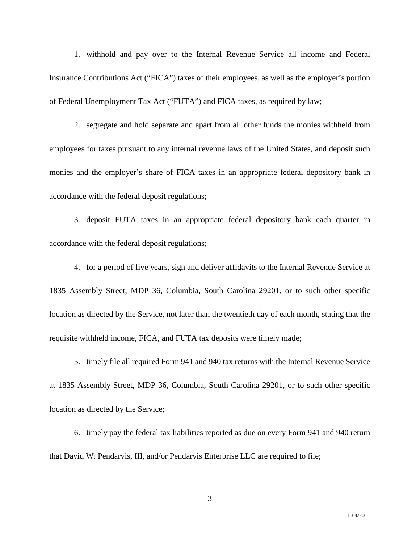1. withhold and pay over to the Internal Revenue Service all income and Federal Insurance Contributions Act ("FICA") taxes of their employees, as well as the employer's portion of Federal Unemployment Tax Act ("FUTA") and FICA taxes, as required by law;

2. segregate and hold separate and apart from all other funds the monies withheld from employees for taxes pursuant to any internal revenue laws of the United States, and deposit such monies and the employer's share of FICA taxes in an appropriate federal depository bank in accordance with the federal deposit regulations;

3. deposit FUTA taxes in an appropriate federal depository bank each quarter in accordance with the federal deposit regulations;

4. for a period of five years, sign and deliver affidavits to the Internal Revenue Service at 1835 Assembly Street, MDP 36, Columbia, South Carolina 29201, or to such other specific location as directed by the Service, not later than the twentieth day of each month, stating that the requisite withheld income, FICA, and FUTA tax deposits were timely made;

5. timely file all required Form 941 and 940 tax returns with the Internal Revenue Service at 1835 Assembly Street, MDP 36, Columbia, South Carolina 29201, or to such other specific location as directed by the Service;

6. timely pay the federal tax liabilities reported as due on every Form 941 and 940 return that David W. Pendarvis, III, and/or Pendarvis Enterprise LLC are required to file;

3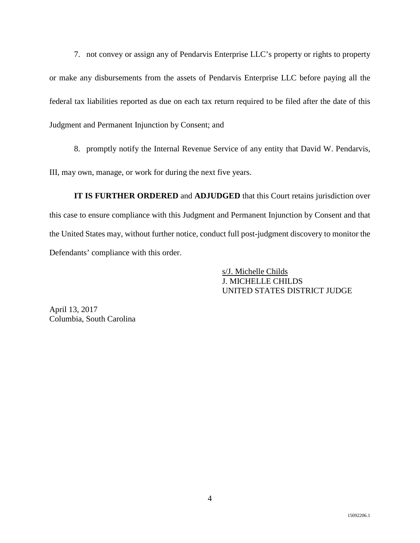7. not convey or assign any of Pendarvis Enterprise LLC's property or rights to property or make any disbursements from the assets of Pendarvis Enterprise LLC before paying all the federal tax liabilities reported as due on each tax return required to be filed after the date of this Judgment and Permanent Injunction by Consent; and

8. promptly notify the Internal Revenue Service of any entity that David W. Pendarvis, III, may own, manage, or work for during the next five years.

**IT IS FURTHER ORDERED** and **ADJUDGED** that this Court retains jurisdiction over this case to ensure compliance with this Judgment and Permanent Injunction by Consent and that the United States may, without further notice, conduct full post-judgment discovery to monitor the Defendants' compliance with this order.

> s/J. Michelle Childs J. MICHELLE CHILDS UNITED STATES DISTRICT JUDGE

April 13, 2017 Columbia, South Carolina